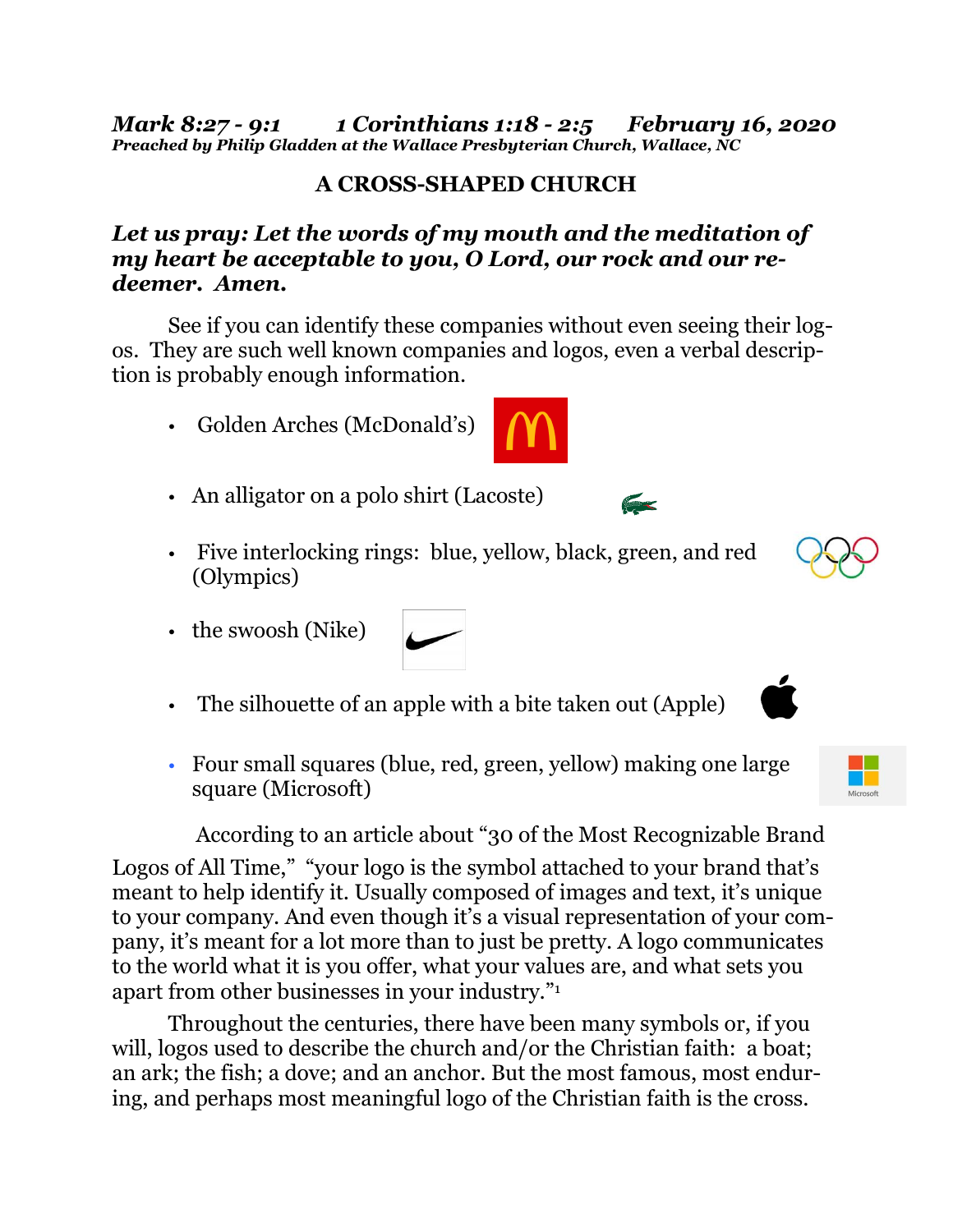## **A CROSS-SHAPED CHURCH**

## *Let us pray: Let the words of my mouth and the meditation of my heart be acceptable to you, O Lord, our rock and our redeemer. Amen.*

See if you can identify these companies without even seeing their logos. They are such well known companies and logos, even a verbal description is probably enough information.

- Golden Arches (McDonald's)
- An alligator on a polo shirt (Lacoste)
- Five interlocking rings: blue, yellow, black, green, and red (Olympics)
- the swoosh (Nike)



- The silhouette of an apple with a bite taken out (Apple)
- Four small squares (blue, red, green, yellow) making one large square (Microsoft)

According to an article about "30 of the Most Recognizable Brand

Logos of All Time," "your [logo](https://www.bluleadz.com/blog/what-your-company-logo-says-about-your-brand) is the symbol attached to your brand that's meant to help identify it. Usually composed of images and text, it's unique to your company. And even though it's a visual representation of your company, it's meant for a lot more than to just be pretty. A logo communicates to the world what it is you offer, what your values are, and what sets you apart from other businesses in your industry."<sup>1</sup>

Throughout the centuries, there have been many symbols or, if you will, logos used to describe the church and/or the Christian faith: a boat; an ark; the fish; a dove; and an anchor. But the most famous, most enduring, and perhaps most meaningful logo of the Christian faith is the cross.



E





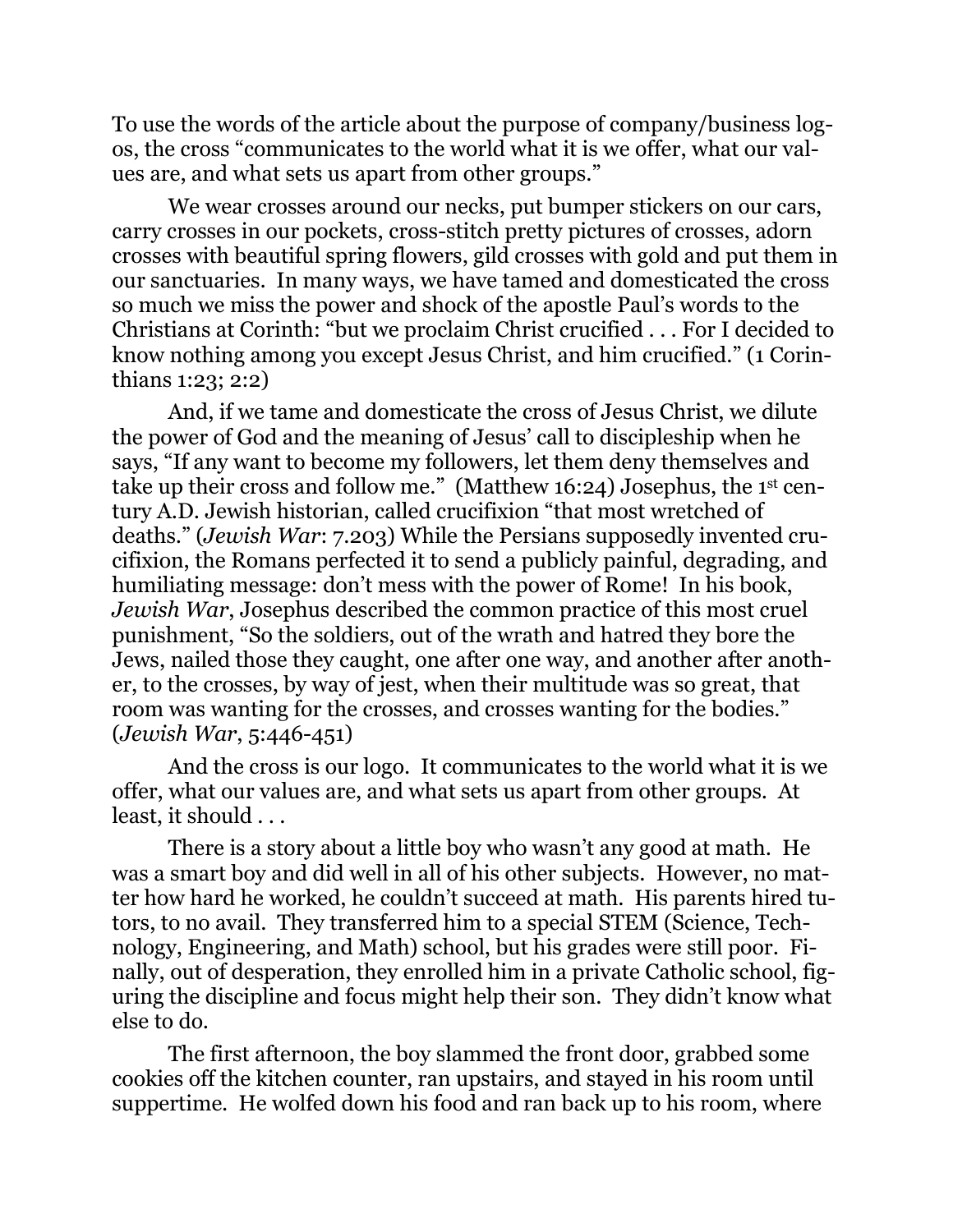To use the words of the article about the purpose of company/business logos, the cross "communicates to the world what it is we offer, what our values are, and what sets us apart from other groups."

We wear crosses around our necks, put bumper stickers on our cars, carry crosses in our pockets, cross-stitch pretty pictures of crosses, adorn crosses with beautiful spring flowers, gild crosses with gold and put them in our sanctuaries. In many ways, we have tamed and domesticated the cross so much we miss the power and shock of the apostle Paul's words to the Christians at Corinth: "but we proclaim Christ crucified . . . For I decided to know nothing among you except Jesus Christ, and him crucified." (1 Corinthians 1:23; 2:2)

And, if we tame and domesticate the cross of Jesus Christ, we dilute the power of God and the meaning of Jesus' call to discipleship when he says, "If any want to become my followers, let them deny themselves and take up their cross and follow me." (Matthew 16:24) Josephus, the 1 st century A.D. Jewish historian, called crucifixion "that most wretched of deaths." (*Jewish War*: 7.203) While the Persians supposedly invented crucifixion, the Romans perfected it to send a publicly painful, degrading, and humiliating message: don't mess with the power of Rome! In his book, *Jewish War*, Josephus described the common practice of this most cruel punishment, "So the soldiers, out of the wrath and hatred they bore the Jews, nailed those they caught, one after one way, and another after another, to the crosses, by way of jest, when their multitude was so great, that room was wanting for the crosses, and crosses wanting for the bodies." (*Jewish War*, 5:446-451)

And the cross is our logo. It communicates to the world what it is we offer, what our values are, and what sets us apart from other groups. At least, it should . . .

There is a story about a little boy who wasn't any good at math. He was a smart boy and did well in all of his other subjects. However, no matter how hard he worked, he couldn't succeed at math. His parents hired tutors, to no avail. They transferred him to a special STEM (Science, Technology, Engineering, and Math) school, but his grades were still poor. Finally, out of desperation, they enrolled him in a private Catholic school, figuring the discipline and focus might help their son. They didn't know what else to do.

The first afternoon, the boy slammed the front door, grabbed some cookies off the kitchen counter, ran upstairs, and stayed in his room until suppertime. He wolfed down his food and ran back up to his room, where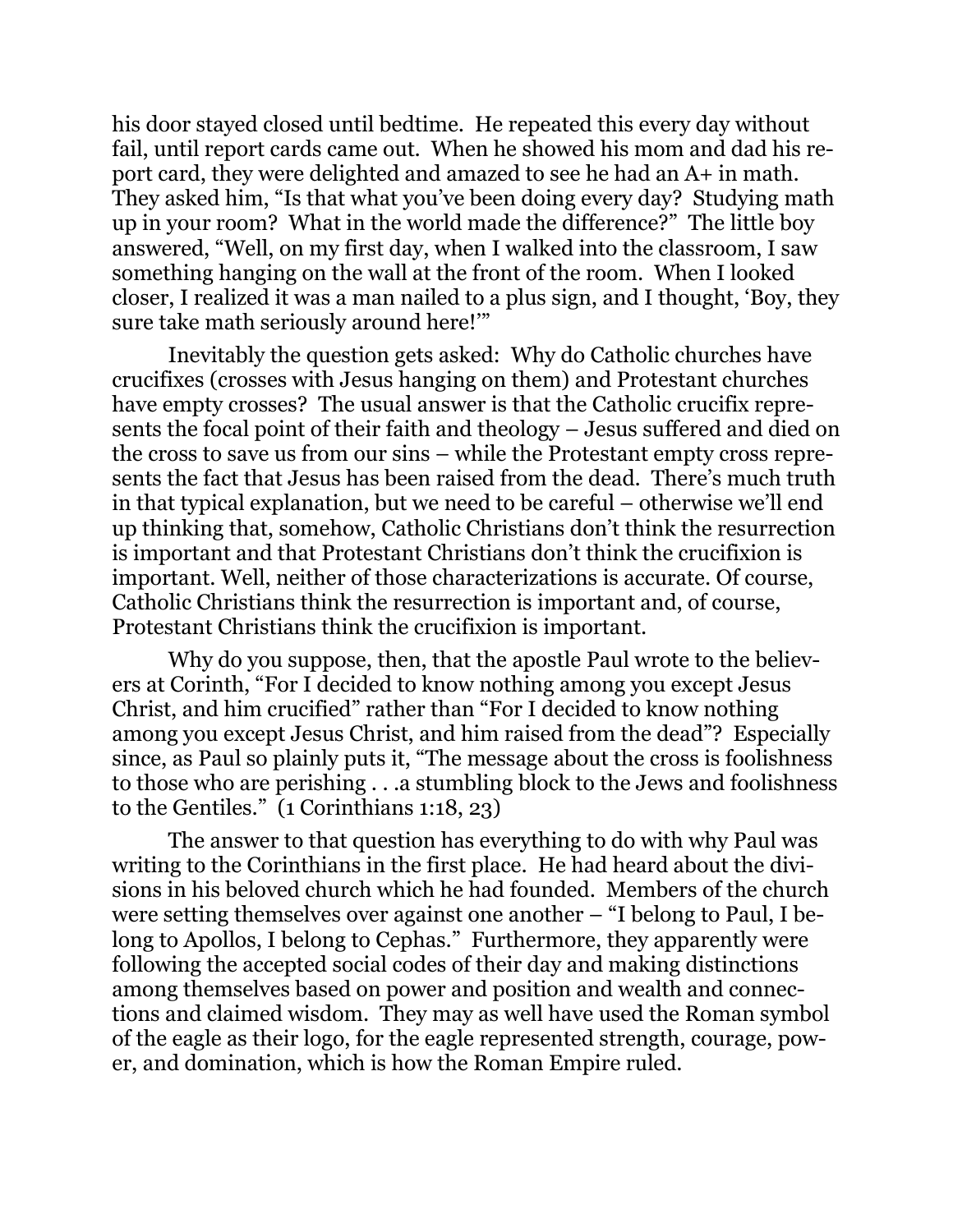his door stayed closed until bedtime. He repeated this every day without fail, until report cards came out. When he showed his mom and dad his report card, they were delighted and amazed to see he had an A+ in math. They asked him, "Is that what you've been doing every day? Studying math up in your room? What in the world made the difference?" The little boy answered, "Well, on my first day, when I walked into the classroom, I saw something hanging on the wall at the front of the room. When I looked closer, I realized it was a man nailed to a plus sign, and I thought, 'Boy, they sure take math seriously around here!'"

Inevitably the question gets asked: Why do Catholic churches have crucifixes (crosses with Jesus hanging on them) and Protestant churches have empty crosses? The usual answer is that the Catholic crucifix represents the focal point of their faith and theology – Jesus suffered and died on the cross to save us from our sins – while the Protestant empty cross represents the fact that Jesus has been raised from the dead. There's much truth in that typical explanation, but we need to be careful – otherwise we'll end up thinking that, somehow, Catholic Christians don't think the resurrection is important and that Protestant Christians don't think the crucifixion is important. Well, neither of those characterizations is accurate. Of course, Catholic Christians think the resurrection is important and, of course, Protestant Christians think the crucifixion is important.

Why do you suppose, then, that the apostle Paul wrote to the believers at Corinth, "For I decided to know nothing among you except Jesus Christ, and him crucified" rather than "For I decided to know nothing among you except Jesus Christ, and him raised from the dead"? Especially since, as Paul so plainly puts it, "The message about the cross is foolishness to those who are perishing . . .a stumbling block to the Jews and foolishness to the Gentiles." (1 Corinthians 1:18, 23)

The answer to that question has everything to do with why Paul was writing to the Corinthians in the first place. He had heard about the divisions in his beloved church which he had founded. Members of the church were setting themselves over against one another – "I belong to Paul, I belong to Apollos, I belong to Cephas." Furthermore, they apparently were following the accepted social codes of their day and making distinctions among themselves based on power and position and wealth and connections and claimed wisdom. They may as well have used the Roman symbol of the eagle as their logo, for the eagle represented strength, courage, power, and domination, which is how the Roman Empire ruled.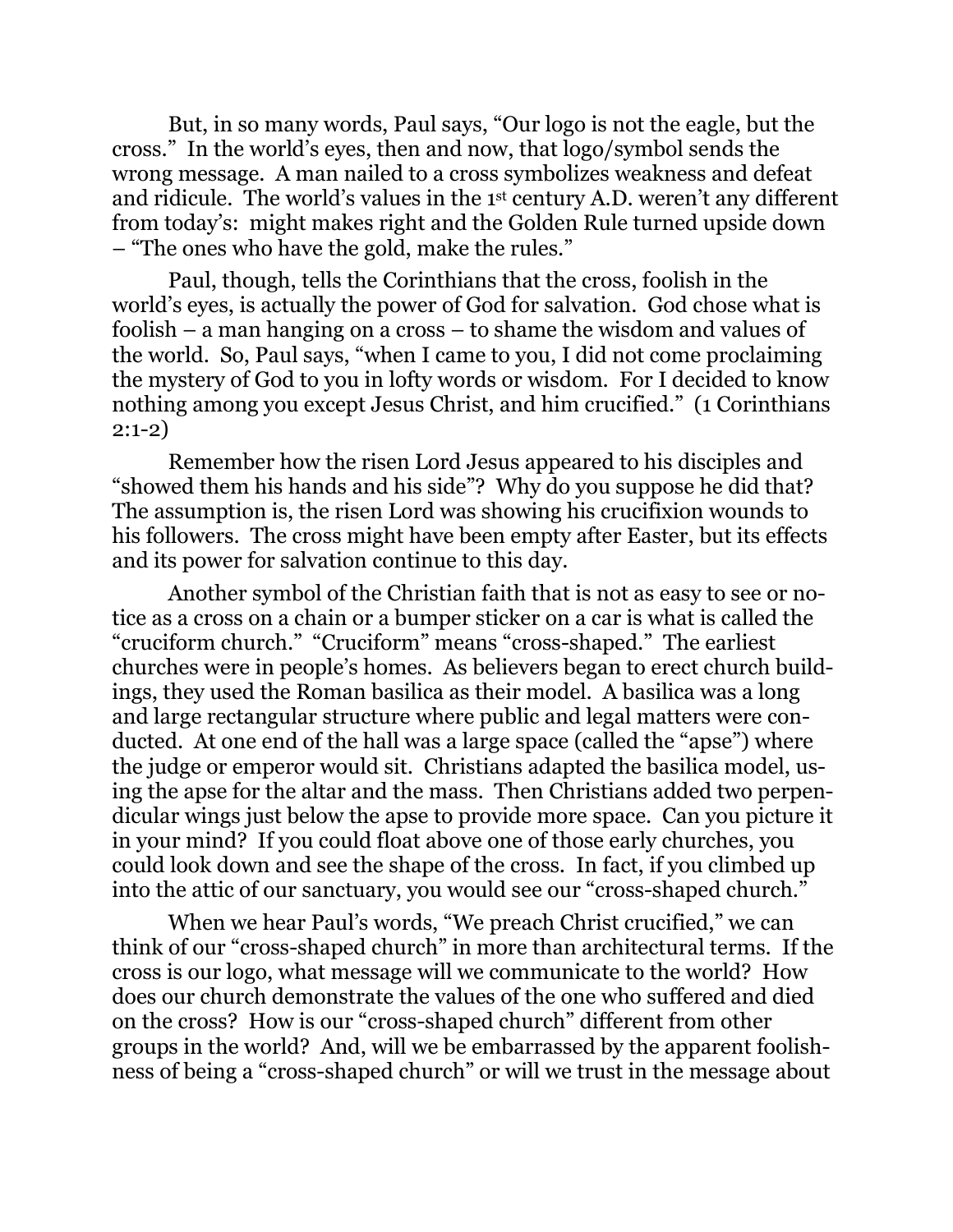But, in so many words, Paul says, "Our logo is not the eagle, but the cross." In the world's eyes, then and now, that logo/symbol sends the wrong message. A man nailed to a cross symbolizes weakness and defeat and ridicule. The world's values in the 1 st century A.D. weren't any different from today's: might makes right and the Golden Rule turned upside down – "The ones who have the gold, make the rules."

Paul, though, tells the Corinthians that the cross, foolish in the world's eyes, is actually the power of God for salvation. God chose what is foolish – a man hanging on a cross – to shame the wisdom and values of the world. So, Paul says, "when I came to you, I did not come proclaiming the mystery of God to you in lofty words or wisdom. For I decided to know nothing among you except Jesus Christ, and him crucified." (1 Corinthians 2:1-2)

Remember how the risen Lord Jesus appeared to his disciples and "showed them his hands and his side"? Why do you suppose he did that? The assumption is, the risen Lord was showing his crucifixion wounds to his followers. The cross might have been empty after Easter, but its effects and its power for salvation continue to this day.

Another symbol of the Christian faith that is not as easy to see or notice as a cross on a chain or a bumper sticker on a car is what is called the "cruciform church." "Cruciform" means "cross-shaped." The earliest churches were in people's homes. As believers began to erect church buildings, they used the Roman basilica as their model. A basilica was a long and large rectangular structure where public and legal matters were conducted. At one end of the hall was a large space (called the "apse") where the judge or emperor would sit. Christians adapted the basilica model, using the apse for the altar and the mass. Then Christians added two perpendicular wings just below the apse to provide more space. Can you picture it in your mind? If you could float above one of those early churches, you could look down and see the shape of the cross. In fact, if you climbed up into the attic of our sanctuary, you would see our "cross-shaped church."

When we hear Paul's words, "We preach Christ crucified," we can think of our "cross-shaped church" in more than architectural terms. If the cross is our logo, what message will we communicate to the world? How does our church demonstrate the values of the one who suffered and died on the cross? How is our "cross-shaped church" different from other groups in the world? And, will we be embarrassed by the apparent foolishness of being a "cross-shaped church" or will we trust in the message about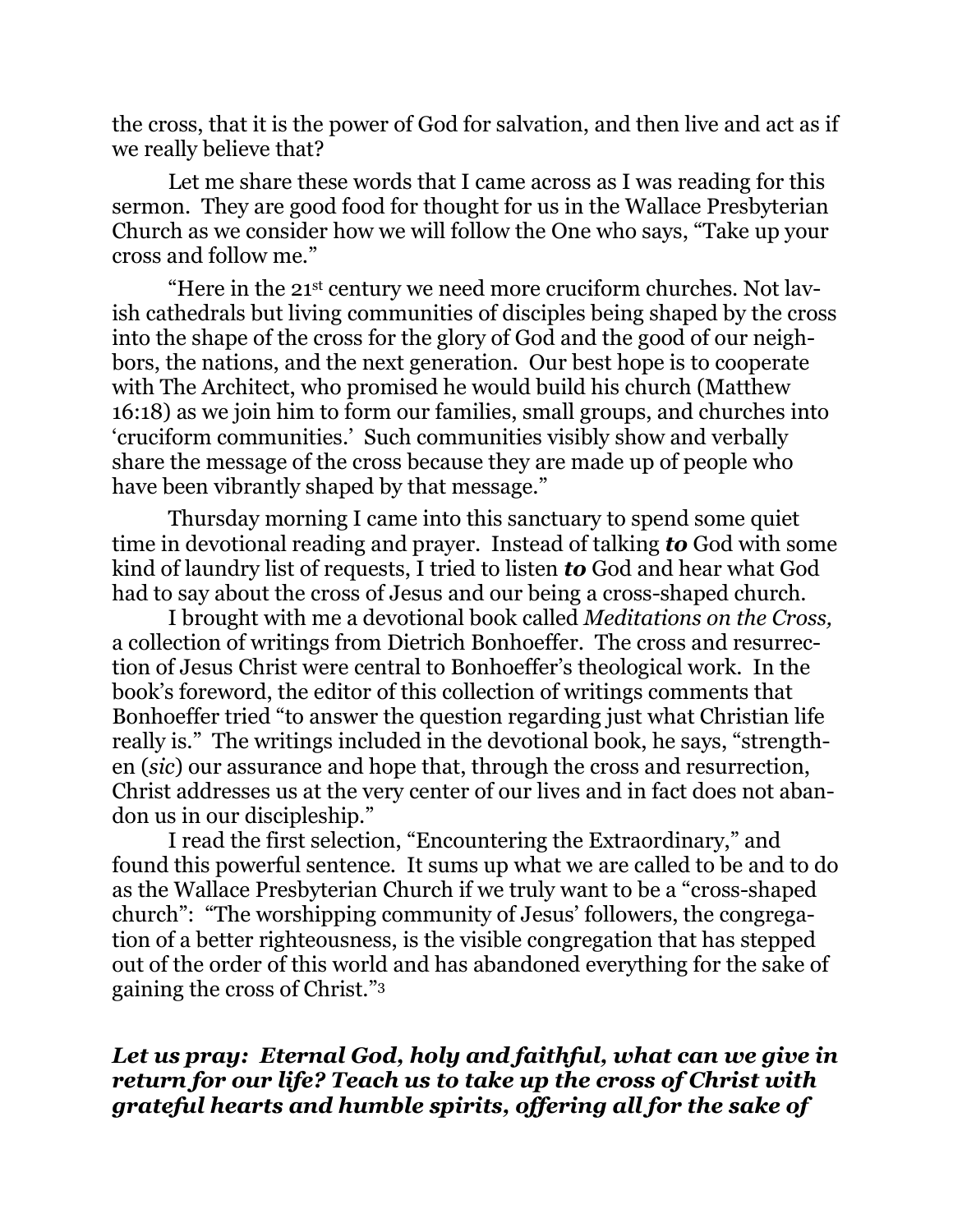the cross, that it is the power of God for salvation, and then live and act as if we really believe that?

Let me share these words that I came across as I was reading for this sermon. They are good food for thought for us in the Wallace Presbyterian Church as we consider how we will follow the One who says, "Take up your cross and follow me."

"Here in the 21st century we need more cruciform churches. Not lavish cathedrals but living communities of disciples being shaped by the cross into the shape of the cross for the glory of God and the good of our neighbors, the nations, and the next generation. Our best hope is to cooperate with The Architect, who promised he would build his church (Matthew 16:18) as we join him to form our families, small groups, and churches into 'cruciform communities.' Such communities visibly show and verbally share the message of the cross because they are made up of people who have been vibrantly shaped by that message."

Thursday morning I came into this sanctuary to spend some quiet time in devotional reading and prayer. Instead of talking *to* God with some kind of laundry list of requests, I tried to listen *to* God and hear what God had to say about the cross of Jesus and our being a cross-shaped church.

I brought with me a devotional book called *Meditations on the Cross,* a collection of writings from Dietrich Bonhoeffer. The cross and resurrection of Jesus Christ were central to Bonhoeffer's theological work. In the book's foreword, the editor of this collection of writings comments that Bonhoeffer tried "to answer the question regarding just what Christian life really is." The writings included in the devotional book, he says, "strengthen (*sic*) our assurance and hope that, through the cross and resurrection, Christ addresses us at the very center of our lives and in fact does not abandon us in our discipleship."

I read the first selection, "Encountering the Extraordinary," and found this powerful sentence. It sums up what we are called to be and to do as the Wallace Presbyterian Church if we truly want to be a "cross-shaped church": "The worshipping community of Jesus' followers, the congregation of a better righteousness, is the visible congregation that has stepped out of the order of this world and has abandoned everything for the sake of gaining the cross of Christ."<sup>3</sup>

*Let us pray: Eternal God, holy and faithful, what can we give in return for our life? Teach us to take up the cross of Christ with grateful hearts and humble spirits, offering all for the sake of*